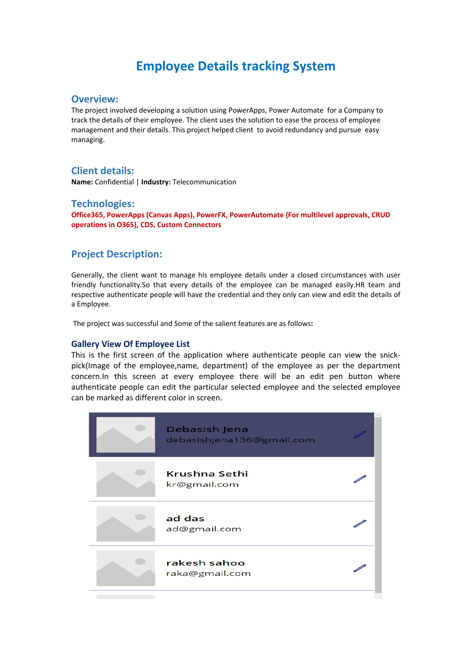# **Employee Details tracking System**

#### **Overview:**

The project involved developing a solution using PowerApps, Power Automate for a Company to track the details of their employee. The client uses the solution to ease the process of employee management and their details. This project helped client to avoid redundancy and pursue easy managing.

## **Client details:**

**Name:** Confidential | **Industry:** Telecommunication

#### **Technologies:**

**Office365, PowerApps (Canvas Apps), PowerFX, PowerAutomate (For multilevel approvals, CRUD operations in O365), CDS, Custom Connectors**

### **Project Description:**

Generally, the client want to manage his employee details under a closed circumstances with user friendly functionality.So that every details of the employee can be managed easily.HR team and respective authenticate people will have the credential and they only can view and edit the details of a Employee.

The project was successful and Some of the salient features are as follows**:**

#### **Gallery View Of Employee List**

This is the first screen of the application where authenticate people can view the snickpick(Image of the employee,name, department) of the employee as per the department concern.In this screen at every employee there will be an edit pen button where authenticate people can edit the particular selected employee and the selected employee can be marked as different color in screen.

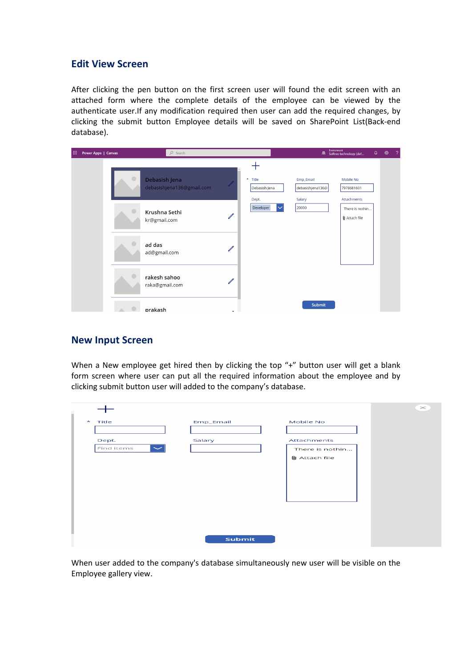## **Edit View Screen**

After clicking the pen button on the first screen user will found the edit screen with an attached form where the complete details of the employee can be viewed by the authenticate user.If any modification required then user can add the required changes, by clicking the submit button Employee details will be saved on SharePoint List(Back-end database).

| 扭 | Power Apps   Canvas | $O$ Search                                 |               |                                   |                                         | Environment<br>Softree technology (def  | $\hbox{\large\it Q}$ | ❀ | -2 |
|---|---------------------|--------------------------------------------|---------------|-----------------------------------|-----------------------------------------|-----------------------------------------|----------------------|---|----|
|   |                     | Debasish Jena<br>debasishjena136@gmail.com |               | * Title<br>Debasish Jena<br>Dept. | Emp_Email<br>debasishjena136@<br>Salary | Mobile No<br>7978681601<br>Attachments  |                      |   |    |
|   |                     | Krushna Sethi<br>kr@gmail.com              | $\mathscr{O}$ | Developer                         | 20000                                   | There is nothin<br><b>I</b> Attach file |                      |   |    |
|   |                     | ad das<br>ad@gmail.com                     | $\mathscr{O}$ |                                   |                                         |                                         |                      |   |    |
|   |                     | rakesh sahoo<br>raka@gmail.com             | $\mathscr{O}$ |                                   |                                         |                                         |                      |   |    |
|   |                     | prakash                                    | <b>A</b>      |                                   | Submit                                  |                                         |                      |   |    |

### **New Input Screen**

When a New employee get hired then by clicking the top "+" button user will get a blank form screen where user can put all the required information about the employee and by clicking submit button user will added to the company's database.

|                           |           |                      | $\mathbb{\times}$ |
|---------------------------|-----------|----------------------|-------------------|
| $\star$<br>Title          | Emp_Email | Mobile No            |                   |
|                           |           |                      |                   |
| Dept.                     | Salary    | Attachments          |                   |
| Find items<br>$\check{~}$ |           | There is nothin      |                   |
|                           |           | <b>U</b> Attach file |                   |
|                           |           |                      |                   |
|                           |           |                      |                   |
|                           |           |                      |                   |
|                           |           |                      |                   |
|                           |           |                      |                   |
|                           |           |                      |                   |
|                           |           |                      |                   |
|                           |           |                      |                   |
|                           | Submit    |                      |                   |

When user added to the company's database simultaneously new user will be visible on the Employee gallery view.